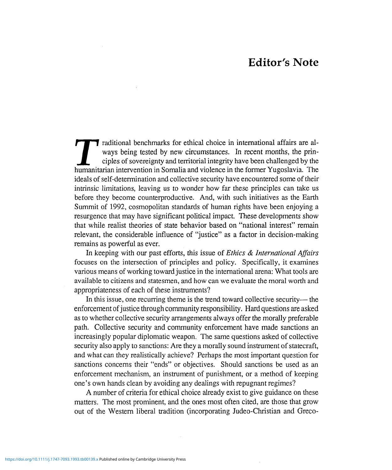## **Editor's Note**

Traditional benchmarks for ethical choice in international affairs are always being tested by new circumstances. In recent months, the principles of sovereignty and territorial integrity have been challenged by the humanit raditional benchmarks for ethical choice in international affairs are always being tested by new circumstances. In recent months, the principles of sovereignty and territorial integrity have been challenged by the ideals of self-determination and collective security have encountered some of their intrinsic limitations, leaving us to wonder how far these principles can take us before they become counterproductive. And, with such initiatives as the Earth Summit of 1992, cosmopolitan standards of human rights have been enjoying a resurgence that may have significant political impact. These developments show that while realist theories of state behavior based on "national interest" remain relevant, the considerable influence of "justice" as a factor in decision-making remains as powerful as ever.

In keeping with our past efforts, this issue of *Ethics & International Affairs* focuses on the intersection of principles and policy. Specifically, it examines various means of working toward justice in the international arena: What tools are available to citizens and statesmen, and how can we evaluate the moral worth and appropriateness of each of these instruments?

In this issue, one recurring theme is the trend toward collective security— the enforcement of justice through community responsibility. Hard questions are asked as to whether collective security arrangements always offer the morally preferable path. Collective security and community enforcement have made sanctions an increasingly popular diplomatic weapon. The same questions asked of collective security also apply to sanctions: Are they a morally sound instrument of statecraft, and what can they realistically achieve? Perhaps the most important question for sanctions concerns their "ends" or objectives. Should sanctions be used as an enforcement mechanism, an instrument of punishment, or a method of keeping one's own hands clean by avoiding any dealings with repugnant regimes?

A number of criteria for ethical choice already exist to give guidance on these matters. The most prominent, and the ones most often cited, are those that grow out of the Western liberal tradition (incorporating Judeo-Christian and Greco